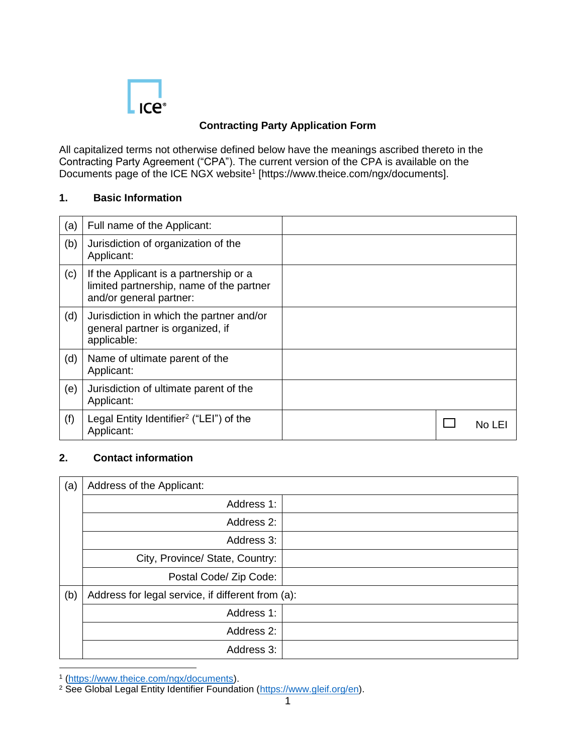

## **Contracting Party Application Form**

All capitalized terms not otherwise defined below have the meanings ascribed thereto in the Contracting Party Agreement ("CPA"). The current version of the CPA is available on the Documents page of the ICE NGX website<sup>1</sup> [https://www.theice.com/ngx/documents].

#### **1. Basic Information**

| (a) | Full name of the Applicant:                                                                                   |  |        |
|-----|---------------------------------------------------------------------------------------------------------------|--|--------|
| (b) | Jurisdiction of organization of the<br>Applicant:                                                             |  |        |
| (c) | If the Applicant is a partnership or a<br>limited partnership, name of the partner<br>and/or general partner: |  |        |
| (d) | Jurisdiction in which the partner and/or<br>general partner is organized, if<br>applicable:                   |  |        |
| (d) | Name of ultimate parent of the<br>Applicant:                                                                  |  |        |
| (e) | Jurisdiction of ultimate parent of the<br>Applicant:                                                          |  |        |
| (f) | Legal Entity Identifier <sup>2</sup> ("LEI") of the<br>Applicant:                                             |  | No LEI |

### **2. Contact information**

| (a) | Address of the Applicant:                         |  |  |
|-----|---------------------------------------------------|--|--|
|     | Address 1:                                        |  |  |
|     | Address 2:                                        |  |  |
|     | Address 3:                                        |  |  |
|     | City, Province/ State, Country:                   |  |  |
|     | Postal Code/ Zip Code:                            |  |  |
| (b) | Address for legal service, if different from (a): |  |  |
|     | Address 1:                                        |  |  |
|     | Address 2:                                        |  |  |
|     | Address 3:                                        |  |  |

<sup>1</sup> [\(https://www.theice.com/ngx/documents\)](https://www.theice.com/ngx/documents).

 $\overline{a}$ 

<sup>&</sup>lt;sup>2</sup> See Global Legal Entity Identifier Foundation [\(https://www.gleif.org/en\)](https://www.gleif.org/en).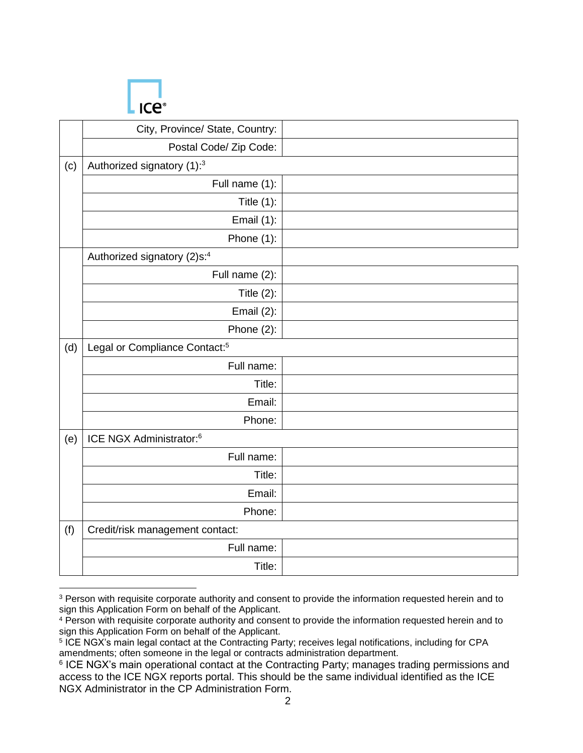

 $\overline{a}$ 

|     | City, Province/ State, Country:           |  |
|-----|-------------------------------------------|--|
|     | Postal Code/ Zip Code:                    |  |
| (c) | Authorized signatory (1):3                |  |
|     | Full name (1):                            |  |
|     | Title $(1)$ :                             |  |
|     | Email (1):                                |  |
|     | Phone (1):                                |  |
|     | Authorized signatory (2)s:4               |  |
|     | Full name (2):                            |  |
|     | Title $(2)$ :                             |  |
|     | Email $(2)$ :                             |  |
|     | Phone $(2)$ :                             |  |
| (d) | Legal or Compliance Contact: <sup>5</sup> |  |
|     | Full name:                                |  |
|     | Title:                                    |  |
|     | Email:                                    |  |
|     | Phone:                                    |  |
| (e) | ICE NGX Administrator: <sup>6</sup>       |  |
|     | Full name:                                |  |
|     | Title:                                    |  |
|     | Email:                                    |  |
|     | Phone:                                    |  |
| (f) | Credit/risk management contact:           |  |
|     | Full name:                                |  |
|     | Title:                                    |  |

<sup>&</sup>lt;sup>3</sup> Person with requisite corporate authority and consent to provide the information requested herein and to sign this Application Form on behalf of the Applicant.

<sup>4</sup> Person with requisite corporate authority and consent to provide the information requested herein and to sign this Application Form on behalf of the Applicant.

<sup>5</sup> ICE NGX's main legal contact at the Contracting Party; receives legal notifications, including for CPA amendments; often someone in the legal or contracts administration department.

<sup>&</sup>lt;sup>6</sup> ICE NGX's main operational contact at the Contracting Party; manages trading permissions and access to the ICE NGX reports portal. This should be the same individual identified as the ICE NGX Administrator in the CP Administration Form.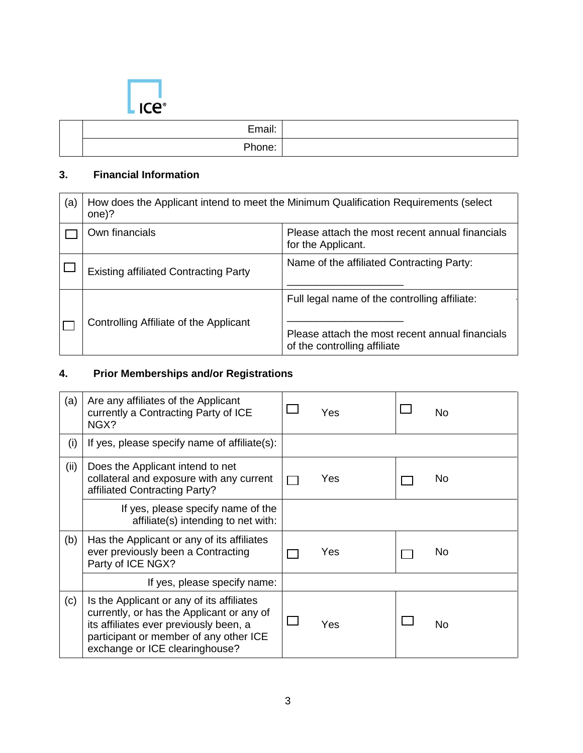

| Email<br>EHI dil. |  |
|-------------------|--|
| Phone:            |  |

## **3. Financial Information**

| (a) | How does the Applicant intend to meet the Minimum Qualification Requirements (select<br>one)? |                                                                                                                                  |  |
|-----|-----------------------------------------------------------------------------------------------|----------------------------------------------------------------------------------------------------------------------------------|--|
|     | Own financials                                                                                | Please attach the most recent annual financials<br>for the Applicant.                                                            |  |
|     | <b>Existing affiliated Contracting Party</b>                                                  | Name of the affiliated Contracting Party:                                                                                        |  |
|     | Controlling Affiliate of the Applicant                                                        | Full legal name of the controlling affiliate:<br>Please attach the most recent annual financials<br>of the controlling affiliate |  |

# **4. Prior Memberships and/or Registrations**

| (a)  | Are any affiliates of the Applicant<br>currently a Contracting Party of ICE<br>NGX?                                                                                                                          | Yes | No  |
|------|--------------------------------------------------------------------------------------------------------------------------------------------------------------------------------------------------------------|-----|-----|
| (i)  | If yes, please specify name of affiliate(s):                                                                                                                                                                 |     |     |
| (ii) | Does the Applicant intend to net<br>collateral and exposure with any current<br>affiliated Contracting Party?                                                                                                | Yes | No. |
|      | If yes, please specify name of the<br>affiliate(s) intending to net with:                                                                                                                                    |     |     |
| (b)  | Has the Applicant or any of its affiliates<br>ever previously been a Contracting<br>Party of ICE NGX?                                                                                                        | Yes | No  |
|      | If yes, please specify name:                                                                                                                                                                                 |     |     |
| (c)  | Is the Applicant or any of its affiliates<br>currently, or has the Applicant or any of<br>its affiliates ever previously been, a<br>participant or member of any other ICE<br>exchange or ICE clearinghouse? | Yes | No  |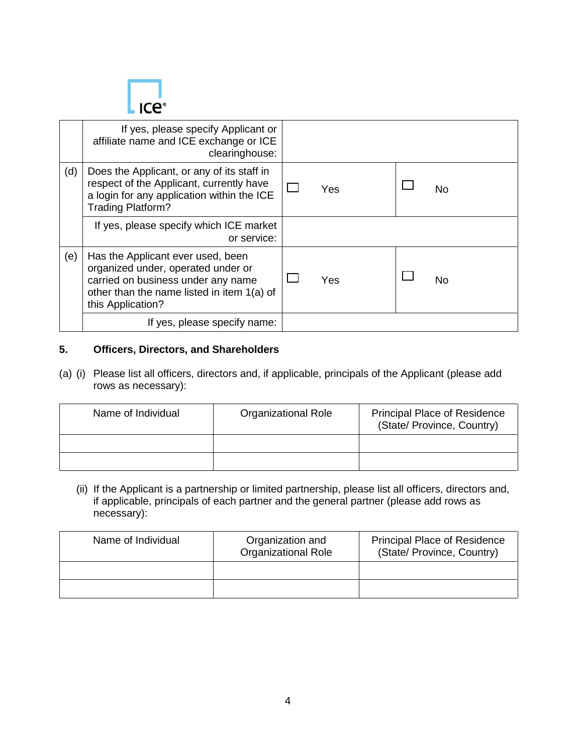

|     | If yes, please specify Applicant or<br>affiliate name and ICE exchange or ICE<br>clearinghouse:                                                                                  |           |
|-----|----------------------------------------------------------------------------------------------------------------------------------------------------------------------------------|-----------|
| (d) | Does the Applicant, or any of its staff in<br>respect of the Applicant, currently have<br>a login for any application within the ICE<br>Trading Platform?                        | Yes<br>No |
|     | If yes, please specify which ICE market<br>or service:                                                                                                                           |           |
| (e) | Has the Applicant ever used, been<br>organized under, operated under or<br>carried on business under any name<br>other than the name listed in item 1(a) of<br>this Application? | Yes<br>No |
|     | If yes, please specify name:                                                                                                                                                     |           |

#### **5. Officers, Directors, and Shareholders**

(a) (i) Please list all officers, directors and, if applicable, principals of the Applicant (please add rows as necessary):

| Name of Individual | Organizational Role | <b>Principal Place of Residence</b><br>(State/ Province, Country) |
|--------------------|---------------------|-------------------------------------------------------------------|
|                    |                     |                                                                   |
|                    |                     |                                                                   |

(ii) If the Applicant is a partnership or limited partnership, please list all officers, directors and, if applicable, principals of each partner and the general partner (please add rows as necessary):

| Name of Individual | Organization and<br><b>Organizational Role</b> | <b>Principal Place of Residence</b><br>(State/ Province, Country) |
|--------------------|------------------------------------------------|-------------------------------------------------------------------|
|                    |                                                |                                                                   |
|                    |                                                |                                                                   |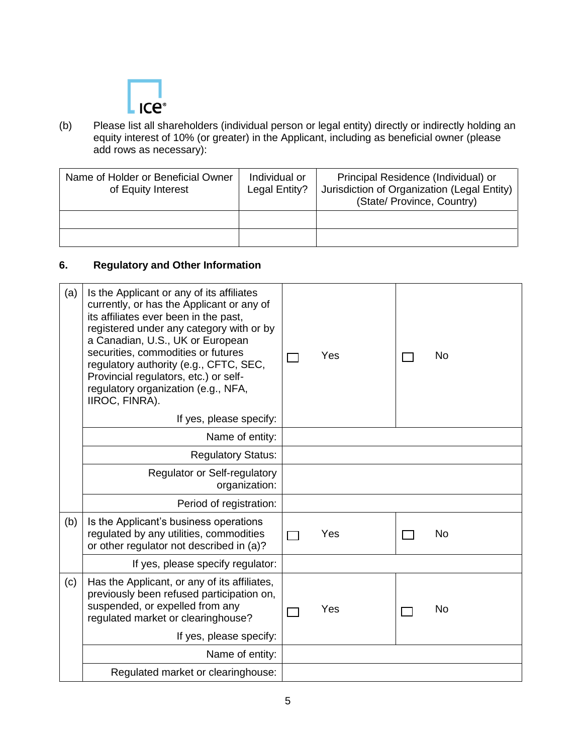

(b) Please list all shareholders (individual person or legal entity) directly or indirectly holding an equity interest of 10% (or greater) in the Applicant, including as beneficial owner (please add rows as necessary):

| Name of Holder or Beneficial Owner<br>of Equity Interest | Individual or<br>Legal Entity? | Principal Residence (Individual) or<br>Jurisdiction of Organization (Legal Entity)<br>(State/ Province, Country) |
|----------------------------------------------------------|--------------------------------|------------------------------------------------------------------------------------------------------------------|
|                                                          |                                |                                                                                                                  |
|                                                          |                                |                                                                                                                  |

### **6. Regulatory and Other Information**

| (a) | Is the Applicant or any of its affiliates<br>currently, or has the Applicant or any of<br>its affiliates ever been in the past,<br>registered under any category with or by<br>a Canadian, U.S., UK or European<br>securities, commodities or futures<br>regulatory authority (e.g., CFTC, SEC,<br>Provincial regulators, etc.) or self-<br>regulatory organization (e.g., NFA,<br>IIROC, FINRA).<br>If yes, please specify: | Yes | <b>No</b> |
|-----|------------------------------------------------------------------------------------------------------------------------------------------------------------------------------------------------------------------------------------------------------------------------------------------------------------------------------------------------------------------------------------------------------------------------------|-----|-----------|
|     | Name of entity:                                                                                                                                                                                                                                                                                                                                                                                                              |     |           |
|     | <b>Regulatory Status:</b>                                                                                                                                                                                                                                                                                                                                                                                                    |     |           |
|     | <b>Regulator or Self-regulatory</b><br>organization:                                                                                                                                                                                                                                                                                                                                                                         |     |           |
|     | Period of registration:                                                                                                                                                                                                                                                                                                                                                                                                      |     |           |
| (b) | Is the Applicant's business operations<br>regulated by any utilities, commodities<br>or other regulator not described in (a)?                                                                                                                                                                                                                                                                                                | Yes | <b>No</b> |
|     | If yes, please specify regulator:                                                                                                                                                                                                                                                                                                                                                                                            |     |           |
| (c) | Has the Applicant, or any of its affiliates,<br>previously been refused participation on,<br>suspended, or expelled from any<br>regulated market or clearinghouse?                                                                                                                                                                                                                                                           | Yes | <b>No</b> |
|     | If yes, please specify:                                                                                                                                                                                                                                                                                                                                                                                                      |     |           |
|     | Name of entity:                                                                                                                                                                                                                                                                                                                                                                                                              |     |           |
|     | Regulated market or clearinghouse:                                                                                                                                                                                                                                                                                                                                                                                           |     |           |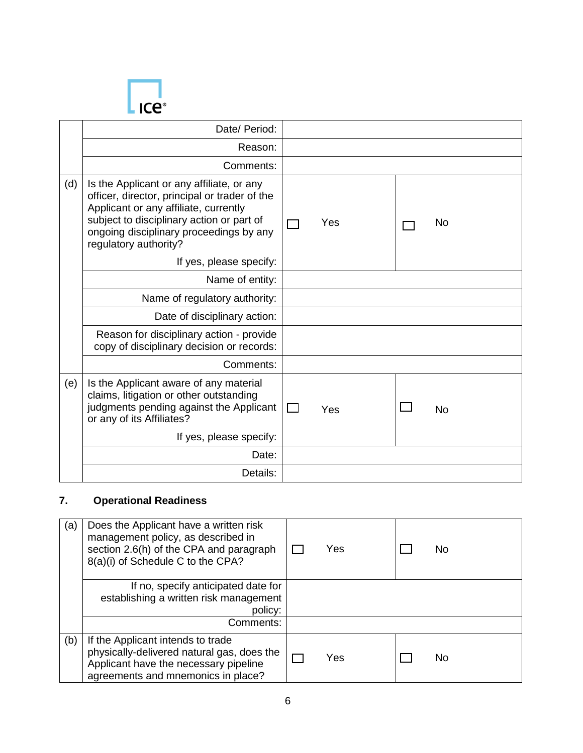

|     | Date/ Period:                                                                                                                                                                                                                                        |                                  |
|-----|------------------------------------------------------------------------------------------------------------------------------------------------------------------------------------------------------------------------------------------------------|----------------------------------|
|     | Reason:                                                                                                                                                                                                                                              |                                  |
|     | Comments:                                                                                                                                                                                                                                            |                                  |
| (d) | Is the Applicant or any affiliate, or any<br>officer, director, principal or trader of the<br>Applicant or any affiliate, currently<br>subject to disciplinary action or part of<br>ongoing disciplinary proceedings by any<br>regulatory authority? | No<br>Yes                        |
|     | If yes, please specify:                                                                                                                                                                                                                              |                                  |
|     | Name of entity:                                                                                                                                                                                                                                      |                                  |
|     | Name of regulatory authority:                                                                                                                                                                                                                        |                                  |
|     | Date of disciplinary action:                                                                                                                                                                                                                         |                                  |
|     | Reason for disciplinary action - provide<br>copy of disciplinary decision or records:                                                                                                                                                                |                                  |
|     | Comments:                                                                                                                                                                                                                                            |                                  |
| (e) | Is the Applicant aware of any material<br>claims, litigation or other outstanding<br>judgments pending against the Applicant<br>or any of its Affiliates?                                                                                            | $\mathbf{1}$<br>Yes<br><b>No</b> |
|     | If yes, please specify:                                                                                                                                                                                                                              |                                  |
|     | Date:                                                                                                                                                                                                                                                |                                  |
|     | Details:                                                                                                                                                                                                                                             |                                  |

# **7. Operational Readiness**

| (a) | Does the Applicant have a written risk<br>management policy, as described in<br>section 2.6(h) of the CPA and paragraph<br>8(a)(i) of Schedule C to the CPA?   | Yes | No |
|-----|----------------------------------------------------------------------------------------------------------------------------------------------------------------|-----|----|
|     | If no, specify anticipated date for<br>establishing a written risk management<br>policy:                                                                       |     |    |
|     | Comments:                                                                                                                                                      |     |    |
| (b) | If the Applicant intends to trade<br>physically-delivered natural gas, does the<br>Applicant have the necessary pipeline<br>agreements and mnemonics in place? | Yes | No |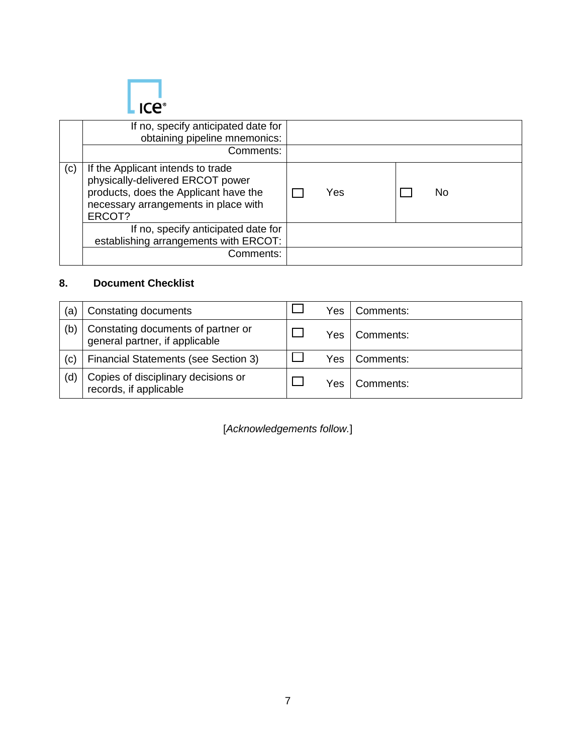

|     | If no, specify anticipated date for<br>obtaining pipeline mnemonics:<br>Comments:                                                                                |           |  |
|-----|------------------------------------------------------------------------------------------------------------------------------------------------------------------|-----------|--|
| (c) | If the Applicant intends to trade<br>physically-delivered ERCOT power<br>products, does the Applicant have the<br>necessary arrangements in place with<br>ERCOT? | Yes<br>No |  |
|     | If no, specify anticipated date for<br>establishing arrangements with ERCOT:<br>Comments:                                                                        |           |  |

### **8. Document Checklist**

| (à  | Constating documents                                                 | Yes | Comments: |
|-----|----------------------------------------------------------------------|-----|-----------|
| (b) | Constating documents of partner or<br>general partner, if applicable | Yes | Comments: |
| (c) | <b>Financial Statements (see Section 3)</b>                          | Yes | Comments: |
| (d) | Copies of disciplinary decisions or<br>records, if applicable        | Yes | Comments: |

[*Acknowledgements follow.*]